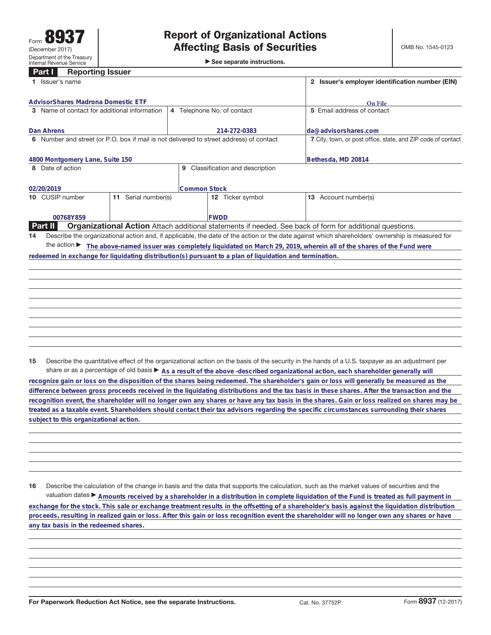## **Part I Reporting Issuer**

| $\triangleright$ See separate instructions. |  |
|---------------------------------------------|--|
|---------------------------------------------|--|

| raith<br><b>UChnima</b> Issuel<br>1 Issuer's name                                                       |                                     | 2 Issuer's employer identification number (EIN)                                                                                                 |  |  |
|---------------------------------------------------------------------------------------------------------|-------------------------------------|-------------------------------------------------------------------------------------------------------------------------------------------------|--|--|
| <b>AdvisorShares Madrona Domestic ETF</b>                                                               |                                     | <b>On File</b>                                                                                                                                  |  |  |
| Name of contact for additional information<br>3                                                         | 4 Telephone No. of contact          | 5 Email address of contact                                                                                                                      |  |  |
| Dan Ahrens                                                                                              | 214-272-0383                        | da@advisorshares.com                                                                                                                            |  |  |
| Number and street (or P.O. box if mail is not delivered to street address) of contact<br>6              |                                     | 7 City, town, or post office, state, and ZIP code of contact                                                                                    |  |  |
| 4800 Montgomery Lane, Suite 150                                                                         |                                     | Bethesda, MD 20814                                                                                                                              |  |  |
| Date of action<br>8                                                                                     | Classification and description<br>9 |                                                                                                                                                 |  |  |
| 02/20/2019                                                                                              | Common Stock                        |                                                                                                                                                 |  |  |
| Serial number(s)<br>10 CUSIP number<br>11                                                               | 12 Ticker symbol                    | Account number(s)<br>13                                                                                                                         |  |  |
| 00768Y859                                                                                               | <b>IFWDD</b>                        |                                                                                                                                                 |  |  |
| <b>Part II</b>                                                                                          |                                     | <b>Organizational Action</b> Attach additional statements if needed. See back of form for additional questions.                                 |  |  |
| 14                                                                                                      |                                     | Describe the organizational action and, if applicable, the date of the action or the date against which shareholders' ownership is measured for |  |  |
| the action $\blacktriangleright$                                                                        |                                     | The above-named issuer was completely liquidated on March 29, 2019, wherein all of the shares of the Fund were                                  |  |  |
| redeemed in exchange for liquidating distribution(s) pursuant to a plan of liquidation and termination. |                                     |                                                                                                                                                 |  |  |
|                                                                                                         |                                     |                                                                                                                                                 |  |  |
|                                                                                                         |                                     |                                                                                                                                                 |  |  |
|                                                                                                         |                                     |                                                                                                                                                 |  |  |
|                                                                                                         |                                     |                                                                                                                                                 |  |  |
|                                                                                                         |                                     |                                                                                                                                                 |  |  |

**15** Describe the quantitative effect of the organizational action on the basis of the security in the hands of a U.S. taxpayer as an adjustment per share or as a percentage of old basis  $\blacktriangleright$  As a result of the above -described organizational action, each shareholder generally will

**recognize gain or loss on the disposition of the shares being redeemed. The shareholder's gain or loss will generally be measured as the difference between gross proceeds received in the liquidating distributions and the tax basis in these shares. After the transaction and the recognition event, the shareholder will no longer own any shares or have any tax basis in the shares. Gain or loss realized on shares may be treated as a taxable event. Shareholders should contact their tax advisors regarding the specific circumstances surrounding their shares subject to this organizational action.**

**16** Describe the calculation of the change in basis and the data that supports the calculation, such as the market values of securities and the valuation dates ▶ Amounts received by a shareholder in a distribution in complete liquidation of the Fund is treated as full payment in **exchange for the stock. This sale or exchange treatment results in the offsetting of a shareholder's basis against the liquidation distribution proceeds, resulting in realized gain or loss. After this gain or loss recognition event the shareholder will no longer own any shares or have any tax basis in the redeemed shares.**